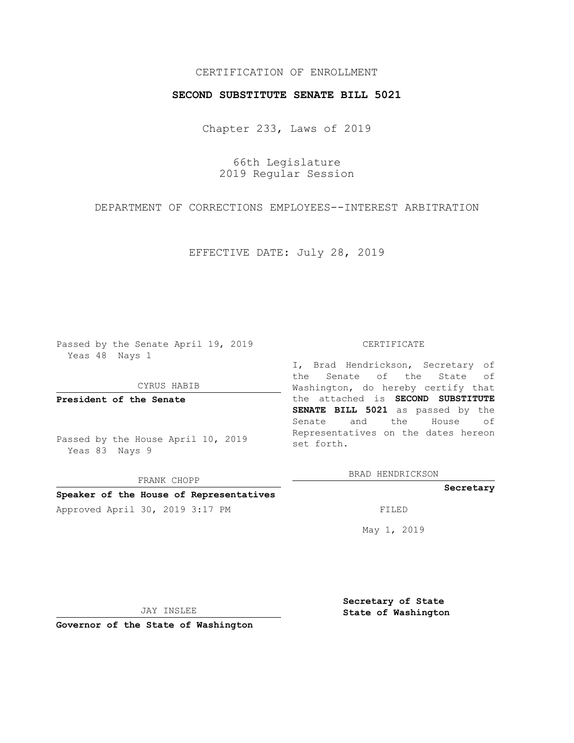## CERTIFICATION OF ENROLLMENT

## **SECOND SUBSTITUTE SENATE BILL 5021**

Chapter 233, Laws of 2019

66th Legislature 2019 Regular Session

DEPARTMENT OF CORRECTIONS EMPLOYEES--INTEREST ARBITRATION

EFFECTIVE DATE: July 28, 2019

Passed by the Senate April 19, 2019 Yeas 48 Nays 1

CYRUS HABIB

**President of the Senate**

Passed by the House April 10, 2019 Yeas 83 Nays 9

FRANK CHOPP **Speaker of the House of Representatives**

#### CERTIFICATE

I, Brad Hendrickson, Secretary of the Senate of the State of Washington, do hereby certify that the attached is **SECOND SUBSTITUTE SENATE BILL 5021** as passed by the Senate and the House of Representatives on the dates hereon set forth.

BRAD HENDRICKSON

### **Secretary**

Approved April 30, 2019 3:17 PM FILED

May 1, 2019

JAY INSLEE

**Governor of the State of Washington**

**Secretary of State State of Washington**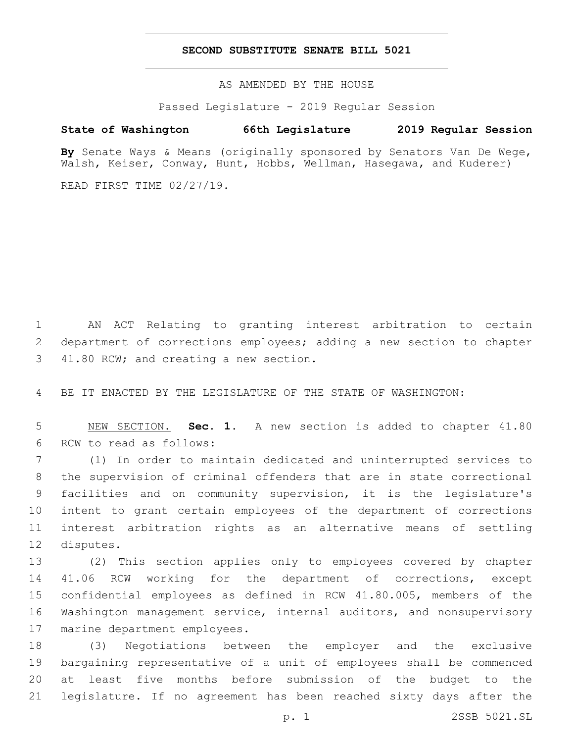## **SECOND SUBSTITUTE SENATE BILL 5021**

AS AMENDED BY THE HOUSE

Passed Legislature - 2019 Regular Session

# **State of Washington 66th Legislature 2019 Regular Session**

**By** Senate Ways & Means (originally sponsored by Senators Van De Wege, Walsh, Keiser, Conway, Hunt, Hobbs, Wellman, Hasegawa, and Kuderer)

READ FIRST TIME 02/27/19.

1 AN ACT Relating to granting interest arbitration to certain 2 department of corrections employees; adding a new section to chapter 3 41.80 RCW; and creating a new section.

4 BE IT ENACTED BY THE LEGISLATURE OF THE STATE OF WASHINGTON:

5 NEW SECTION. **Sec. 1.** A new section is added to chapter 41.80 6 RCW to read as follows:

 (1) In order to maintain dedicated and uninterrupted services to the supervision of criminal offenders that are in state correctional facilities and on community supervision, it is the legislature's intent to grant certain employees of the department of corrections interest arbitration rights as an alternative means of settling 12 disputes.

 (2) This section applies only to employees covered by chapter 41.06 RCW working for the department of corrections, except confidential employees as defined in RCW 41.80.005, members of the Washington management service, internal auditors, and nonsupervisory 17 marine department employees.

 (3) Negotiations between the employer and the exclusive bargaining representative of a unit of employees shall be commenced at least five months before submission of the budget to the legislature. If no agreement has been reached sixty days after the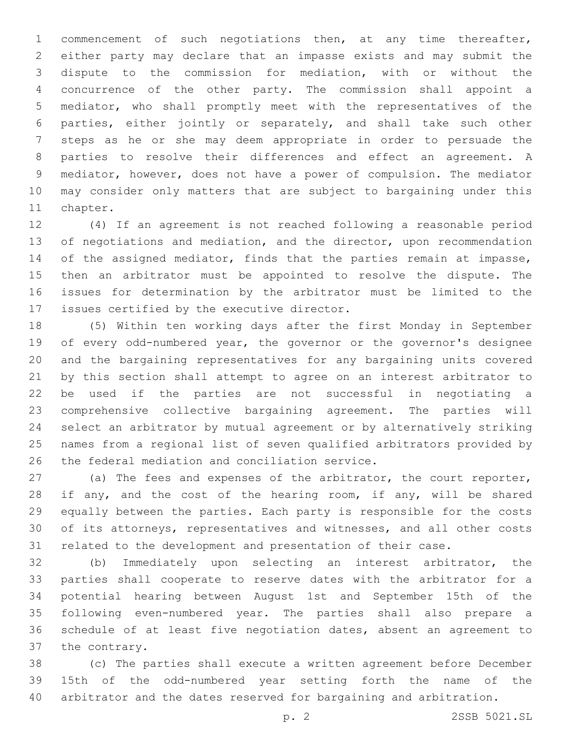commencement of such negotiations then, at any time thereafter, either party may declare that an impasse exists and may submit the dispute to the commission for mediation, with or without the concurrence of the other party. The commission shall appoint a mediator, who shall promptly meet with the representatives of the parties, either jointly or separately, and shall take such other steps as he or she may deem appropriate in order to persuade the parties to resolve their differences and effect an agreement. A mediator, however, does not have a power of compulsion. The mediator may consider only matters that are subject to bargaining under this 11 chapter.

 (4) If an agreement is not reached following a reasonable period 13 of negotiations and mediation, and the director, upon recommendation 14 of the assigned mediator, finds that the parties remain at impasse, then an arbitrator must be appointed to resolve the dispute. The issues for determination by the arbitrator must be limited to the 17 issues certified by the executive director.

 (5) Within ten working days after the first Monday in September of every odd-numbered year, the governor or the governor's designee and the bargaining representatives for any bargaining units covered by this section shall attempt to agree on an interest arbitrator to be used if the parties are not successful in negotiating a comprehensive collective bargaining agreement. The parties will select an arbitrator by mutual agreement or by alternatively striking names from a regional list of seven qualified arbitrators provided by 26 the federal mediation and conciliation service.

 (a) The fees and expenses of the arbitrator, the court reporter, 28 if any, and the cost of the hearing room, if any, will be shared equally between the parties. Each party is responsible for the costs of its attorneys, representatives and witnesses, and all other costs related to the development and presentation of their case.

 (b) Immediately upon selecting an interest arbitrator, the parties shall cooperate to reserve dates with the arbitrator for a potential hearing between August 1st and September 15th of the following even-numbered year. The parties shall also prepare a schedule of at least five negotiation dates, absent an agreement to 37 the contrary.

 (c) The parties shall execute a written agreement before December 15th of the odd-numbered year setting forth the name of the arbitrator and the dates reserved for bargaining and arbitration.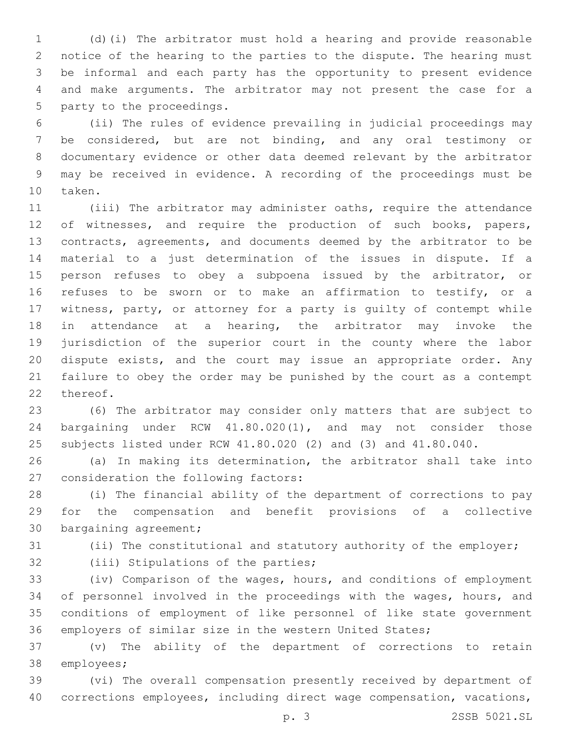(d)(i) The arbitrator must hold a hearing and provide reasonable notice of the hearing to the parties to the dispute. The hearing must be informal and each party has the opportunity to present evidence and make arguments. The arbitrator may not present the case for a 5 party to the proceedings.

 (ii) The rules of evidence prevailing in judicial proceedings may be considered, but are not binding, and any oral testimony or documentary evidence or other data deemed relevant by the arbitrator may be received in evidence. A recording of the proceedings must be 10 taken.

 (iii) The arbitrator may administer oaths, require the attendance 12 of witnesses, and require the production of such books, papers, contracts, agreements, and documents deemed by the arbitrator to be material to a just determination of the issues in dispute. If a 15 person refuses to obey a subpoena issued by the arbitrator, or refuses to be sworn or to make an affirmation to testify, or a witness, party, or attorney for a party is guilty of contempt while in attendance at a hearing, the arbitrator may invoke the jurisdiction of the superior court in the county where the labor dispute exists, and the court may issue an appropriate order. Any failure to obey the order may be punished by the court as a contempt 22 thereof.

 (6) The arbitrator may consider only matters that are subject to bargaining under RCW 41.80.020(1), and may not consider those subjects listed under RCW 41.80.020 (2) and (3) and 41.80.040.

 (a) In making its determination, the arbitrator shall take into 27 consideration the following factors:

 (i) The financial ability of the department of corrections to pay for the compensation and benefit provisions of a collective 30 bargaining agreement;

(ii) The constitutional and statutory authority of the employer;

32 (iii) Stipulations of the parties;

 (iv) Comparison of the wages, hours, and conditions of employment of personnel involved in the proceedings with the wages, hours, and conditions of employment of like personnel of like state government employers of similar size in the western United States;

 (v) The ability of the department of corrections to retain 38 employees;

 (vi) The overall compensation presently received by department of corrections employees, including direct wage compensation, vacations,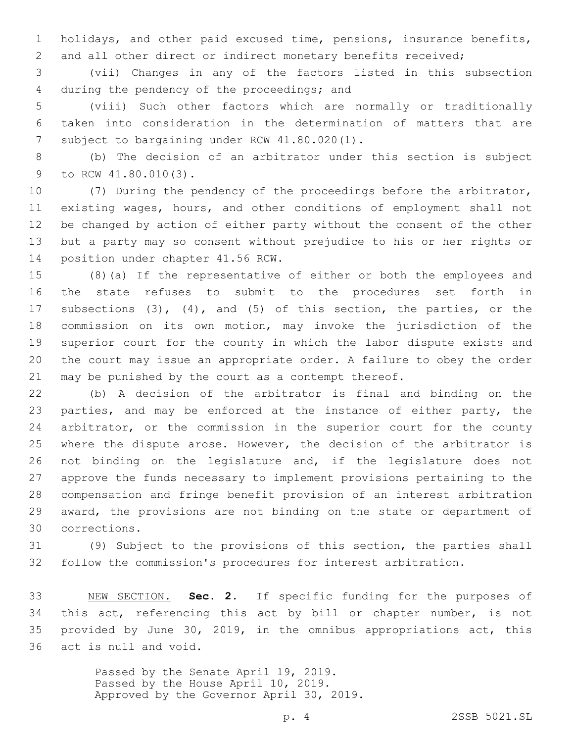holidays, and other paid excused time, pensions, insurance benefits, 2 and all other direct or indirect monetary benefits received;

 (vii) Changes in any of the factors listed in this subsection 4 during the pendency of the proceedings; and

 (viii) Such other factors which are normally or traditionally taken into consideration in the determination of matters that are 7 subject to bargaining under RCW 41.80.020(1).

 (b) The decision of an arbitrator under this section is subject 9 to RCW 41.80.010(3).

 (7) During the pendency of the proceedings before the arbitrator, existing wages, hours, and other conditions of employment shall not be changed by action of either party without the consent of the other but a party may so consent without prejudice to his or her rights or 14 position under chapter 41.56 RCW.

 (8)(a) If the representative of either or both the employees and the state refuses to submit to the procedures set forth in subsections (3), (4), and (5) of this section, the parties, or the commission on its own motion, may invoke the jurisdiction of the superior court for the county in which the labor dispute exists and the court may issue an appropriate order. A failure to obey the order may be punished by the court as a contempt thereof.

 (b) A decision of the arbitrator is final and binding on the 23 parties, and may be enforced at the instance of either party, the arbitrator, or the commission in the superior court for the county where the dispute arose. However, the decision of the arbitrator is not binding on the legislature and, if the legislature does not approve the funds necessary to implement provisions pertaining to the compensation and fringe benefit provision of an interest arbitration award, the provisions are not binding on the state or department of corrections.30

 (9) Subject to the provisions of this section, the parties shall follow the commission's procedures for interest arbitration.

 NEW SECTION. **Sec. 2.** If specific funding for the purposes of this act, referencing this act by bill or chapter number, is not provided by June 30, 2019, in the omnibus appropriations act, this act is null and void.

> Passed by the Senate April 19, 2019. Passed by the House April 10, 2019. Approved by the Governor April 30, 2019.